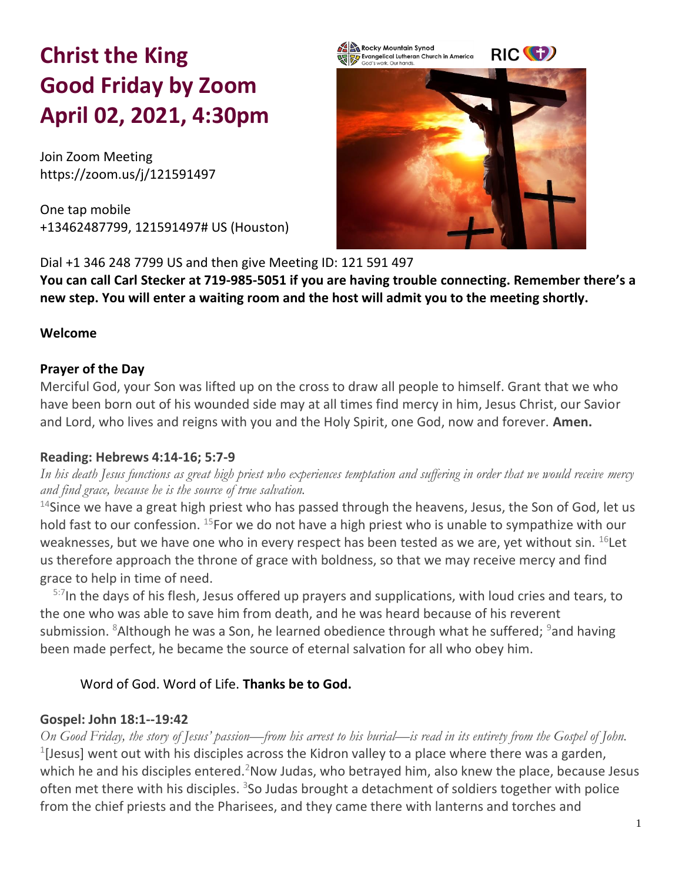# **Christ the King Good Friday by Zoom April 02, 2021, 4:30pm**

Join Zoom Meeting https://zoom.us/j/121591497

One tap mobile +13462487799, 121591497# US (Houston)



Dial +1 346 248 7799 US and then give Meeting ID: 121 591 497 **You can call Carl Stecker at 719-985-5051 if you are having trouble connecting. Remember there's a** 

**new step. You will enter a waiting room and the host will admit you to the meeting shortly.** 

#### **Welcome**

#### **Prayer of the Day**

Merciful God, your Son was lifted up on the cross to draw all people to himself. Grant that we who have been born out of his wounded side may at all times find mercy in him, Jesus Christ, our Savior and Lord, who lives and reigns with you and the Holy Spirit, one God, now and forever. **Amen.**

#### **Reading: Hebrews 4:14-16; 5:7-9**

*In his death Jesus functions as great high priest who experiences temptation and suffering in order that we would receive mercy and find grace, because he is the source of true salvation.*

 $14$ Since we have a great high priest who has passed through the heavens, Jesus, the Son of God, let us hold fast to our confession. <sup>15</sup>For we do not have a high priest who is unable to sympathize with our weaknesses, but we have one who in every respect has been tested as we are, yet without sin.  $^{16}$ Let us therefore approach the throne of grace with boldness, so that we may receive mercy and find grace to help in time of need.

<sup>5:7</sup>In the days of his flesh, Jesus offered up prayers and supplications, with loud cries and tears, to the one who was able to save him from death, and he was heard because of his reverent submission. <sup>8</sup>Although he was a Son, he learned obedience through what he suffered;  $9$  and having been made perfect, he became the source of eternal salvation for all who obey him.

# Word of God. Word of Life. **Thanks be to God.**

#### **Gospel: John 18:1--19:42**

*On Good Friday, the story of Jesus' passion—from his arrest to his burial—is read in its entirety from the Gospel of John.*  $1$ [Jesus] went out with his disciples across the Kidron valley to a place where there was a garden, which he and his disciples entered.<sup>2</sup>Now Judas, who betrayed him, also knew the place, because Jesus often met there with his disciples. <sup>3</sup>So Judas brought a detachment of soldiers together with police from the chief priests and the Pharisees, and they came there with lanterns and torches and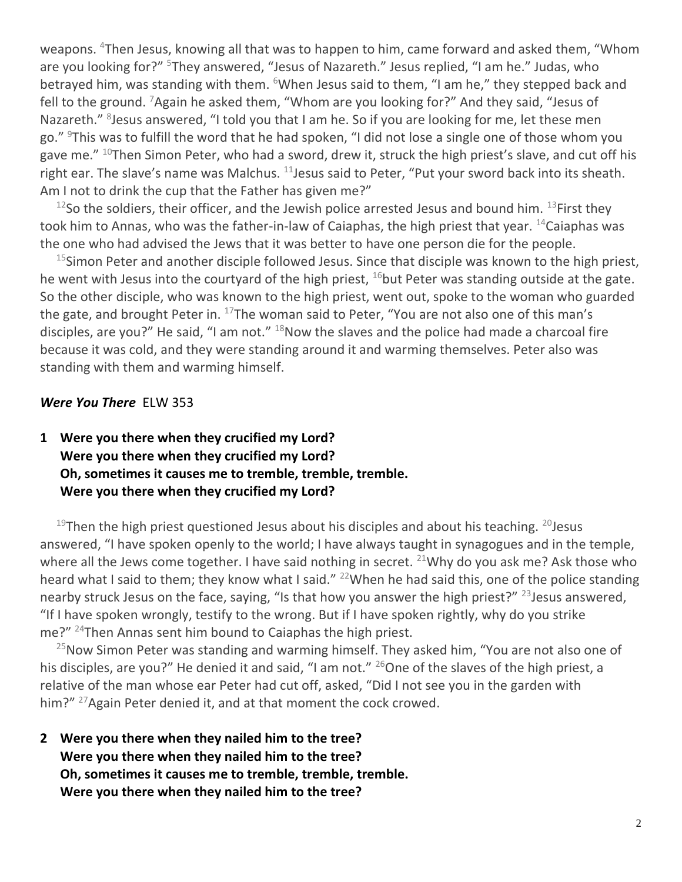weapons. <sup>4</sup>Then Jesus, knowing all that was to happen to him, came forward and asked them, "Whom are you looking for?" <sup>5</sup>They answered, "Jesus of Nazareth." Jesus replied, "I am he." Judas, who betrayed him, was standing with them. <sup>6</sup>When Jesus said to them, "I am he," they stepped back and fell to the ground. <sup>7</sup>Again he asked them, "Whom are you looking for?" And they said, "Jesus of Nazareth." <sup>8</sup>Jesus answered, "I told you that I am he. So if you are looking for me, let these men go." <sup>9</sup>This was to fulfill the word that he had spoken, "I did not lose a single one of those whom you gave me." <sup>10</sup>Then Simon Peter, who had a sword, drew it, struck the high priest's slave, and cut off his right ear. The slave's name was Malchus.  $11$  Jesus said to Peter, "Put your sword back into its sheath. Am I not to drink the cup that the Father has given me?"

 $12$ So the soldiers, their officer, and the Jewish police arrested Jesus and bound him.  $13$  First they took him to Annas, who was the father-in-law of Caiaphas, the high priest that year. <sup>14</sup>Caiaphas was the one who had advised the Jews that it was better to have one person die for the people.

 $15$ Simon Peter and another disciple followed Jesus. Since that disciple was known to the high priest, he went with Jesus into the courtyard of the high priest,  $^{16}$ but Peter was standing outside at the gate. So the other disciple, who was known to the high priest, went out, spoke to the woman who guarded the gate, and brought Peter in.  $17$ The woman said to Peter, "You are not also one of this man's disciples, are you?" He said, "I am not." <sup>18</sup>Now the slaves and the police had made a charcoal fire because it was cold, and they were standing around it and warming themselves. Peter also was standing with them and warming himself.

#### *Were You There* ELW 353

# **1 Were you there when they crucified my Lord? Were you there when they crucified my Lord? Oh, sometimes it causes me to tremble, tremble, tremble. Were you there when they crucified my Lord?**

 $19$ Then the high priest questioned Jesus about his disciples and about his teaching.  $20$ Jesus answered, "I have spoken openly to the world; I have always taught in synagogues and in the temple, where all the Jews come together. I have said nothing in secret. <sup>21</sup>Why do you ask me? Ask those who heard what I said to them; they know what I said." <sup>22</sup>When he had said this, one of the police standing nearby struck Jesus on the face, saying, "Is that how you answer the high priest?"  $^{23}$ Jesus answered, "If I have spoken wrongly, testify to the wrong. But if I have spoken rightly, why do you strike me?" <sup>24</sup>Then Annas sent him bound to Caiaphas the high priest.

 $25$ Now Simon Peter was standing and warming himself. They asked him, "You are not also one of his disciples, are you?" He denied it and said, "I am not." <sup>26</sup>One of the slaves of the high priest, a relative of the man whose ear Peter had cut off, asked, "Did I not see you in the garden with him?" <sup>27</sup>Again Peter denied it, and at that moment the cock crowed.

**2 Were you there when they nailed him to the tree? Were you there when they nailed him to the tree? Oh, sometimes it causes me to tremble, tremble, tremble. Were you there when they nailed him to the tree?**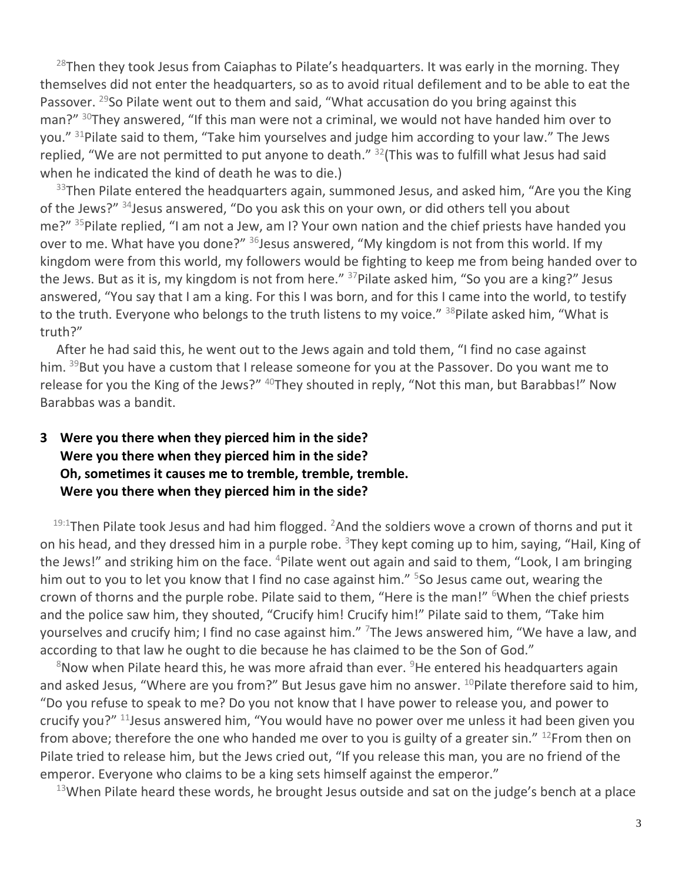$^{28}$ Then they took Jesus from Caiaphas to Pilate's headquarters. It was early in the morning. They themselves did not enter the headquarters, so as to avoid ritual defilement and to be able to eat the Passover. <sup>29</sup>So Pilate went out to them and said, "What accusation do you bring against this man?" <sup>30</sup>They answered, "If this man were not a criminal, we would not have handed him over to you." <sup>31</sup>Pilate said to them, "Take him yourselves and judge him according to your law." The Jews replied, "We are not permitted to put anyone to death." <sup>32</sup>(This was to fulfill what Jesus had said when he indicated the kind of death he was to die.)

 $33$ Then Pilate entered the headquarters again, summoned Jesus, and asked him, "Are you the King of the Jews?" <sup>34</sup>Jesus answered, "Do you ask this on your own, or did others tell you about me?" <sup>35</sup>Pilate replied, "I am not a Jew, am I? Your own nation and the chief priests have handed you over to me. What have you done?"  $36$  Jesus answered, "My kingdom is not from this world. If my kingdom were from this world, my followers would be fighting to keep me from being handed over to the Jews. But as it is, my kingdom is not from here." <sup>37</sup>Pilate asked him, "So you are a king?" Jesus answered, "You say that I am a king. For this I was born, and for this I came into the world, to testify to the truth. Everyone who belongs to the truth listens to my voice." <sup>38</sup>Pilate asked him, "What is truth?"

After he had said this, he went out to the Jews again and told them, "I find no case against him. <sup>39</sup>But you have a custom that I release someone for you at the Passover. Do you want me to release for you the King of the Jews?" <sup>40</sup>They shouted in reply, "Not this man, but Barabbas!" Now Barabbas was a bandit.

# **3 Were you there when they pierced him in the side? Were you there when they pierced him in the side? Oh, sometimes it causes me to tremble, tremble, tremble. Were you there when they pierced him in the side?**

 $19:1$ Then Pilate took Jesus and had him flogged. <sup>2</sup>And the soldiers wove a crown of thorns and put it on his head, and they dressed him in a purple robe.  $3$ They kept coming up to him, saying, "Hail, King of the Jews!" and striking him on the face.  $4P$ ilate went out again and said to them, "Look, I am bringing him out to you to let you know that I find no case against him." <sup>5</sup>So Jesus came out, wearing the crown of thorns and the purple robe. Pilate said to them, "Here is the man!" <sup>6</sup>When the chief priests and the police saw him, they shouted, "Crucify him! Crucify him!" Pilate said to them, "Take him yourselves and crucify him; I find no case against him." <sup>7</sup>The Jews answered him, "We have a law, and according to that law he ought to die because he has claimed to be the Son of God."

 $8$ Now when Pilate heard this, he was more afraid than ever.  $9$ He entered his headquarters again and asked Jesus, "Where are you from?" But Jesus gave him no answer.  $^{10}$ Pilate therefore said to him, "Do you refuse to speak to me? Do you not know that I have power to release you, and power to crucify you?" <sup>11</sup>Jesus answered him, "You would have no power over me unless it had been given you from above; therefore the one who handed me over to you is guilty of a greater sin."  $^{12}$ From then on Pilate tried to release him, but the Jews cried out, "If you release this man, you are no friend of the emperor. Everyone who claims to be a king sets himself against the emperor."

 $13$ When Pilate heard these words, he brought Jesus outside and sat on the judge's bench at a place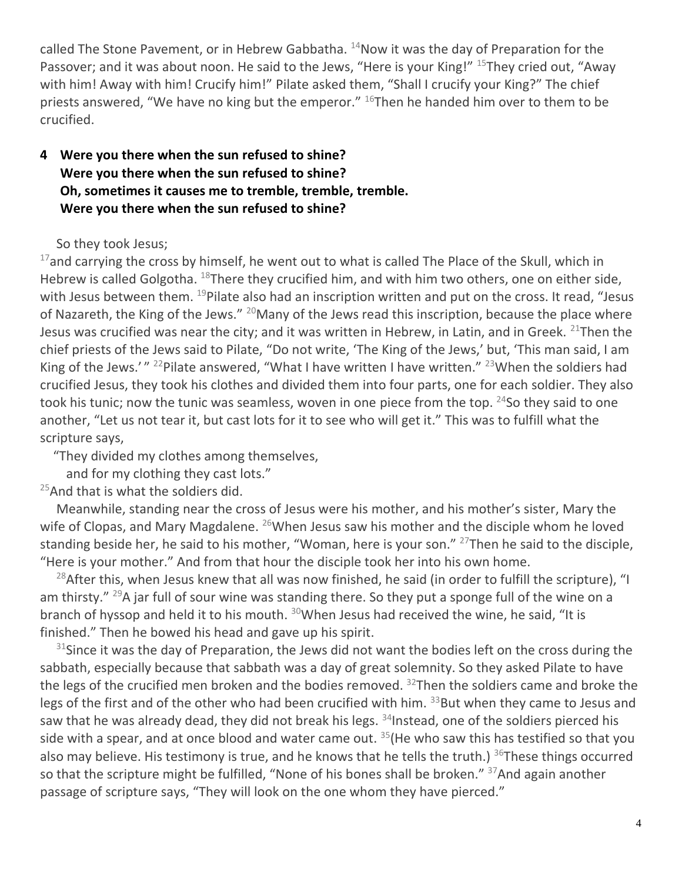called The Stone Pavement, or in Hebrew Gabbatha. <sup>14</sup>Now it was the day of Preparation for the Passover; and it was about noon. He said to the Jews, "Here is your King!" <sup>15</sup>They cried out, "Away with him! Away with him! Crucify him!" Pilate asked them, "Shall I crucify your King?" The chief priests answered, "We have no king but the emperor." <sup>16</sup>Then he handed him over to them to be crucified.

# **4 Were you there when the sun refused to shine? Were you there when the sun refused to shine? Oh, sometimes it causes me to tremble, tremble, tremble. Were you there when the sun refused to shine?**

So they took Jesus;

 $17$ and carrying the cross by himself, he went out to what is called The Place of the Skull, which in Hebrew is called Golgotha.  $^{18}$ There they crucified him, and with him two others, one on either side, with Jesus between them. <sup>19</sup>Pilate also had an inscription written and put on the cross. It read, "Jesus of Nazareth, the King of the Jews."  $^{20}$ Many of the Jews read this inscription, because the place where Jesus was crucified was near the city; and it was written in Hebrew, in Latin, and in Greek.  $^{21}$ Then the chief priests of the Jews said to Pilate, "Do not write, 'The King of the Jews,' but, 'This man said, I am King of the Jews.'" <sup>22</sup>Pilate answered, "What I have written I have written." <sup>23</sup>When the soldiers had crucified Jesus, they took his clothes and divided them into four parts, one for each soldier. They also took his tunic; now the tunic was seamless, woven in one piece from the top.  $24$ So they said to one another, "Let us not tear it, but cast lots for it to see who will get it." This was to fulfill what the scripture says,

"They divided my clothes among themselves,

and for my clothing they cast lots."

 $25$ And that is what the soldiers did.

Meanwhile, standing near the cross of Jesus were his mother, and his mother's sister, Mary the wife of Clopas, and Mary Magdalene.  $^{26}$ When Jesus saw his mother and the disciple whom he loved standing beside her, he said to his mother, "Woman, here is your son."  $27$ Then he said to the disciple, "Here is your mother." And from that hour the disciple took her into his own home.

 $^{28}$ After this, when Jesus knew that all was now finished, he said (in order to fulfill the scripture), "I am thirsty." <sup>29</sup>A jar full of sour wine was standing there. So they put a sponge full of the wine on a branch of hyssop and held it to his mouth. <sup>30</sup>When Jesus had received the wine, he said, "It is finished." Then he bowed his head and gave up his spirit.

 $31$ Since it was the day of Preparation, the Jews did not want the bodies left on the cross during the sabbath, especially because that sabbath was a day of great solemnity. So they asked Pilate to have the legs of the crucified men broken and the bodies removed.  $32$ Then the soldiers came and broke the legs of the first and of the other who had been crucified with him. <sup>33</sup>But when they came to Jesus and saw that he was already dead, they did not break his legs. <sup>34</sup>Instead, one of the soldiers pierced his side with a spear, and at once blood and water came out.  $35$  (He who saw this has testified so that you also may believe. His testimony is true, and he knows that he tells the truth.)  $36$ These things occurred so that the scripture might be fulfilled, "None of his bones shall be broken."  $37$ And again another passage of scripture says, "They will look on the one whom they have pierced."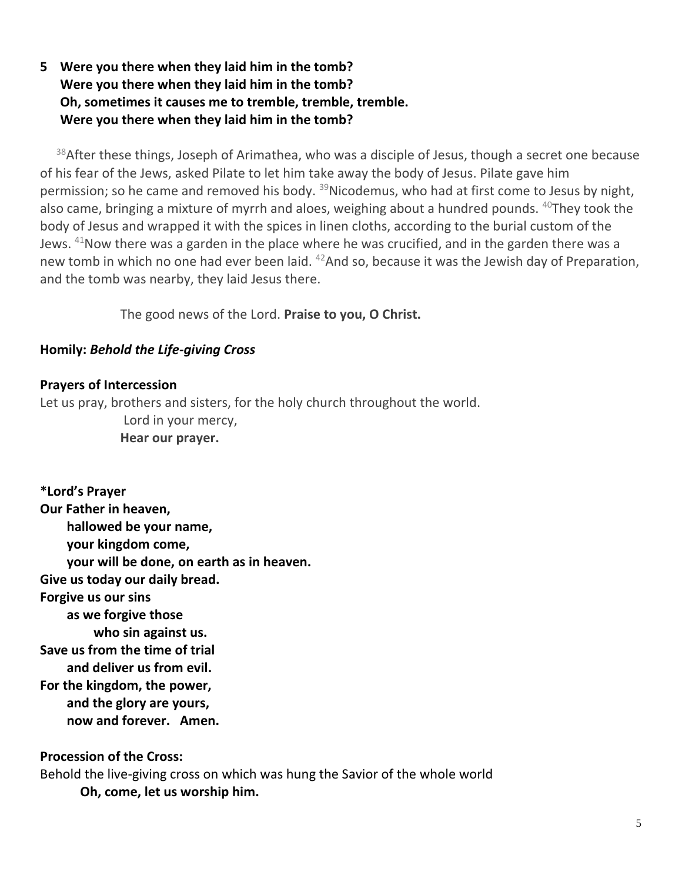## **5 Were you there when they laid him in the tomb? Were you there when they laid him in the tomb? Oh, sometimes it causes me to tremble, tremble, tremble. Were you there when they laid him in the tomb?**

<sup>38</sup> After these things, Joseph of Arimathea, who was a disciple of Jesus, though a secret one because of his fear of the Jews, asked Pilate to let him take away the body of Jesus. Pilate gave him permission; so he came and removed his body.  $39$ Nicodemus, who had at first come to Jesus by night, also came, bringing a mixture of myrrh and aloes, weighing about a hundred pounds.  $40$ They took the body of Jesus and wrapped it with the spices in linen cloths, according to the burial custom of the Jews.  $41$ Now there was a garden in the place where he was crucified, and in the garden there was a new tomb in which no one had ever been laid. <sup>42</sup>And so, because it was the Jewish day of Preparation, and the tomb was nearby, they laid Jesus there.

The good news of the Lord. **Praise to you, O Christ.**

# **Homily:** *Behold the Life-giving Cross*

#### **Prayers of Intercession**

Let us pray, brothers and sisters, for the holy church throughout the world. Lord in your mercy,

**Hear our prayer.**

**\*Lord's Prayer Our Father in heaven, hallowed be your name, your kingdom come, your will be done, on earth as in heaven. Give us today our daily bread. Forgive us our sins as we forgive those who sin against us. Save us from the time of trial and deliver us from evil. For the kingdom, the power, and the glory are yours, now and forever. Amen.**

**Procession of the Cross:**

Behold the live-giving cross on which was hung the Savior of the whole world **Oh, come, let us worship him.**